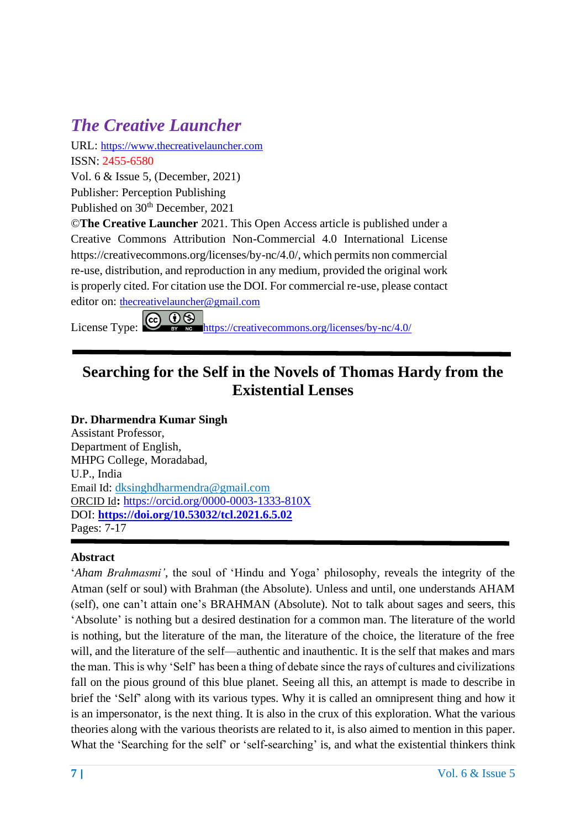URL: [https://www.thecreativelauncher.com](https://www.thecreativelauncher.com/) ISSN: 2455-6580 Vol. 6 & Issue 5, (December, 2021)

Publisher: Perception Publishing

Published on 30<sup>th</sup> December, 2021

©**The Creative Launcher** 2021. This Open Access article is published under a Creative Commons Attribution Non-Commercial 4.0 International License https://creativecommons.org/licenses/by-nc/4.0/, which permits non commercial re-use, distribution, and reproduction in any medium, provided the original work is properly cited. For citation use the DOI. For commercial re-use, please contact

editor on: [thecreativelauncher@gmail.com](mailto:thecreativelauncher@gmail.com)<br>License Type: CO OS https://creative <https://creativecommons.org/licenses/by-nc/4.0/>

#### **Searching for the Self in the Novels of Thomas Hardy from the Existential Lenses**

#### **Dr. Dharmendra Kumar Singh**

Assistant Professor, Department of English, MHPG College, Moradabad, U.P., India Email Id: [dksinghdharmendra@gmail.com](https://mail.google.com/mail/u/0/h/196o9fnxk5fbz/?&cs=wh&v=b&to=dksinghdharmendra@gmail.com) ORCID Id**:** <https://orcid.org/0000-0003-1333-810X> DOI: **<https://doi.org/10.53032/tcl.2021.6.5.02>** Pages: 7-17

#### **Abstract**

'*Aham Brahmasmi'*, the soul of 'Hindu and Yoga' philosophy, reveals the integrity of the Atman (self or soul) with Brahman (the Absolute). Unless and until, one understands AHAM (self), one can't attain one's BRAHMAN (Absolute). Not to talk about sages and seers, this 'Absolute' is nothing but a desired destination for a common man. The literature of the world is nothing, but the literature of the man, the literature of the choice, the literature of the free will, and the literature of the self—authentic and inauthentic. It is the self that makes and mars the man. This is why 'Self' has been a thing of debate since the rays of cultures and civilizations fall on the pious ground of this blue planet. Seeing all this, an attempt is made to describe in brief the 'Self' along with its various types. Why it is called an omnipresent thing and how it is an impersonator, is the next thing. It is also in the crux of this exploration. What the various theories along with the various theorists are related to it, is also aimed to mention in this paper. What the 'Searching for the self' or 'self-searching' is, and what the existential thinkers think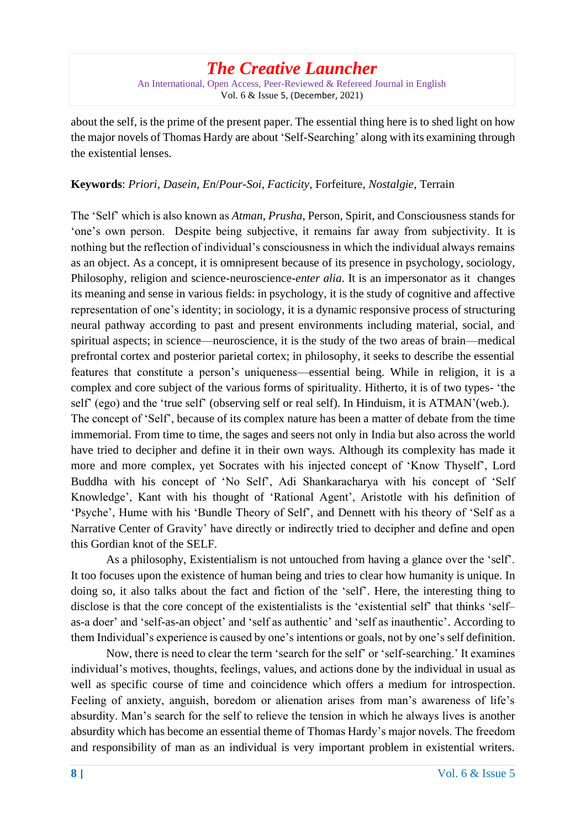An International, Open Access, Peer-Reviewed & Refereed Journal in English Vol. 6 & Issue 5, (December, 2021)

about the self, is the prime of the present paper. The essential thing here is to shed light on how the major novels of Thomas Hardy are about 'Self-Searching' along with its examining through the existential lenses.

#### **Keywords**: *Priori*, *Dasein*, *En*/*Pour*-*Soi*, *Facticity*, Forfeiture, *Nostalgie*, Terrain

The 'Self' which is also known as *Atman*, *Prusha*, Person, Spirit, and Consciousness stands for 'one's own person. Despite being subjective, it remains far away from subjectivity. It is nothing but the reflection of individual's consciousness in which the individual always remains as an object. As a concept, it is omnipresent because of its presence in psychology, sociology, Philosophy, religion and science-neuroscience-*enter alia*. It is an impersonator as it changes its meaning and sense in various fields: in psychology, it is the study of cognitive and affective representation of one's identity; in sociology, it is a dynamic responsive process of structuring neural pathway according to past and present environments including material, social, and spiritual aspects; in science—neuroscience, it is the study of the two areas of brain—medical prefrontal cortex and posterior parietal cortex; in philosophy, it seeks to describe the essential features that constitute a person's uniqueness—essential being. While in religion, it is a complex and core subject of the various forms of spirituality. Hitherto, it is of two types- 'the self' (ego) and the 'true self' (observing self or real self). In Hinduism, it is ATMAN'(web.). The concept of 'Self', because of its complex nature has been a matter of debate from the time immemorial. From time to time, the sages and seers not only in India but also across the world have tried to decipher and define it in their own ways. Although its complexity has made it more and more complex, yet Socrates with his injected concept of 'Know Thyself', Lord Buddha with his concept of 'No Self', Adi Shankaracharya with his concept of 'Self Knowledge', Kant with his thought of 'Rational Agent', Aristotle with his definition of 'Psyche', Hume with his 'Bundle Theory of Self', and Dennett with his theory of 'Self as a Narrative Center of Gravity' have directly or indirectly tried to decipher and define and open this Gordian knot of the SELF.

As a philosophy, Existentialism is not untouched from having a glance over the 'self'. It too focuses upon the existence of human being and tries to clear how humanity is unique. In doing so, it also talks about the fact and fiction of the 'self'. Here, the interesting thing to disclose is that the core concept of the existentialists is the 'existential self' that thinks 'self– as-a doer' and 'self-as-an object' and 'self as authentic' and 'self as inauthentic'. According to them Individual's experience is caused by one's intentions or goals, not by one's self definition.

Now, there is need to clear the term 'search for the self' or 'self-searching.' It examines individual's motives, thoughts, feelings, values, and actions done by the individual in usual as well as specific course of time and coincidence which offers a medium for introspection. Feeling of anxiety, anguish, boredom or alienation arises from man's awareness of life's absurdity. Man's search for the self to relieve the tension in which he always lives is another absurdity which has become an essential theme of Thomas Hardy's major novels. The freedom and responsibility of man as an individual is very important problem in existential writers.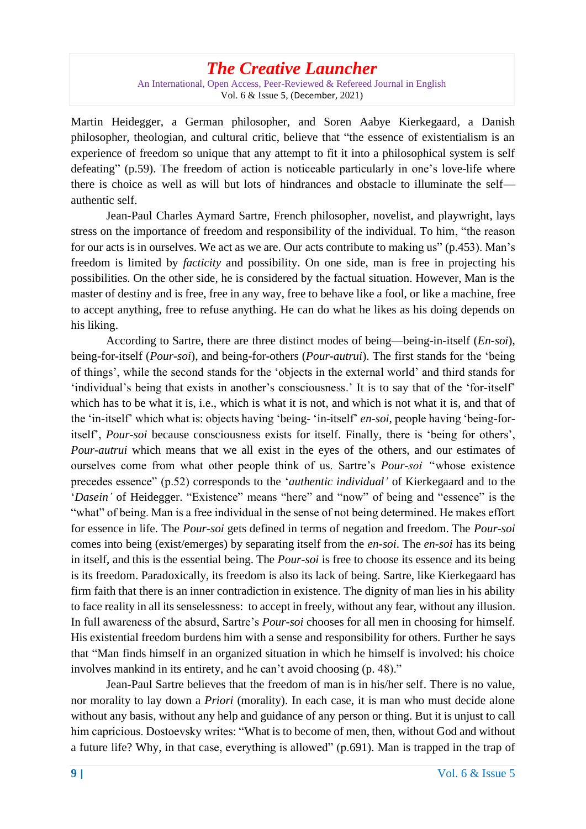An International, Open Access, Peer-Reviewed & Refereed Journal in English Vol. 6 & Issue 5, (December, 2021)

Martin Heidegger, a German philosopher, and Soren Aabye Kierkegaard, a Danish philosopher, theologian, and cultural critic, believe that "the essence of existentialism is an experience of freedom so unique that any attempt to fit it into a philosophical system is self defeating" (p.59). The freedom of action is noticeable particularly in one's love-life where there is choice as well as will but lots of hindrances and obstacle to illuminate the self authentic self.

Jean-Paul Charles Aymard Sartre, French philosopher, novelist, and playwright, lays stress on the importance of freedom and responsibility of the individual. To him, "the reason for our acts is in ourselves. We act as we are. Our acts contribute to making us" (p.453). Man's freedom is limited by *facticity* and possibility. On one side, man is free in projecting his possibilities. On the other side, he is considered by the factual situation. However, Man is the master of destiny and is free, free in any way, free to behave like a fool, or like a machine, free to accept anything, free to refuse anything. He can do what he likes as his doing depends on his liking.

According to Sartre, there are three distinct modes of being—being-in-itself (*En*-*soi*), being-for-itself (*Pour*-*soi*), and being-for-others (*Pour*-*autrui*). The first stands for the 'being of things', while the second stands for the 'objects in the external world' and third stands for 'individual's being that exists in another's consciousness.' It is to say that of the 'for-itself' which has to be what it is, i.e., which is what it is not, and which is not what it is, and that of the 'in-itself' which what is: objects having 'being- 'in-itself' *en*-*soi,* people having 'being-foritself', *Pour*-*soi* because consciousness exists for itself. Finally, there is 'being for others', *Pour*-*autrui* which means that we all exist in the eyes of the others, and our estimates of ourselves come from what other people think of us. Sartre's *Pour*-*soi '*'whose existence precedes essence" (p.52) corresponds to the '*authentic individual'* of Kierkegaard and to the '*Dasein'* of Heidegger. "Existence" means "here" and "now" of being and "essence" is the "what" of being. Man is a free individual in the sense of not being determined. He makes effort for essence in life. The *Pour*-*soi* gets defined in terms of negation and freedom. The *Pour*-*soi*  comes into being (exist/emerges) by separating itself from the *en*-*soi*. The *en-soi* has its being in itself, and this is the essential being. The *Pour*-*soi* is free to choose its essence and its being is its freedom. Paradoxically, its freedom is also its lack of being. Sartre, like Kierkegaard has firm faith that there is an inner contradiction in existence. The dignity of man lies in his ability to face reality in all its senselessness: to accept in freely, without any fear, without any illusion. In full awareness of the absurd, Sartre's *Pour*-*soi* chooses for all men in choosing for himself. His existential freedom burdens him with a sense and responsibility for others. Further he says that "Man finds himself in an organized situation in which he himself is involved: his choice involves mankind in its entirety, and he can't avoid choosing (p. 48)."

Jean-Paul Sartre believes that the freedom of man is in his/her self. There is no value, nor morality to lay down a *Priori* (morality). In each case, it is man who must decide alone without any basis, without any help and guidance of any person or thing. But it is unjust to call him capricious. Dostoevsky writes: "What is to become of men, then, without God and without a future life? Why, in that case, everything is allowed" (p.691). Man is trapped in the trap of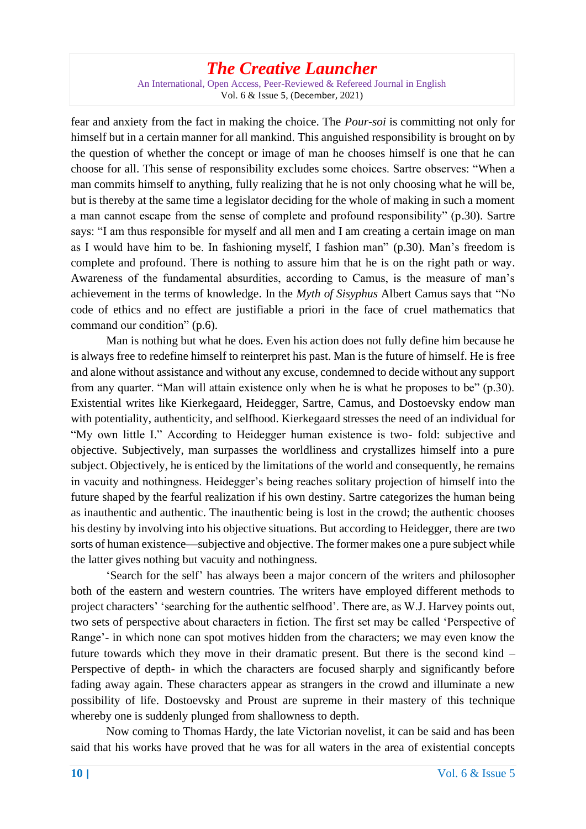An International, Open Access, Peer-Reviewed & Refereed Journal in English Vol. 6 & Issue 5, (December, 2021)

fear and anxiety from the fact in making the choice. The *Pour*-*soi* is committing not only for himself but in a certain manner for all mankind. This anguished responsibility is brought on by the question of whether the concept or image of man he chooses himself is one that he can choose for all. This sense of responsibility excludes some choices. Sartre observes: "When a man commits himself to anything, fully realizing that he is not only choosing what he will be, but is thereby at the same time a legislator deciding for the whole of making in such a moment a man cannot escape from the sense of complete and profound responsibility" (p.30). Sartre says: "I am thus responsible for myself and all men and I am creating a certain image on man as I would have him to be. In fashioning myself, I fashion man" (p.30). Man's freedom is complete and profound. There is nothing to assure him that he is on the right path or way. Awareness of the fundamental absurdities, according to Camus, is the measure of man's achievement in the terms of knowledge. In the *Myth of Sisyphus* Albert Camus says that "No code of ethics and no effect are justifiable a priori in the face of cruel mathematics that command our condition" (p.6).

Man is nothing but what he does. Even his action does not fully define him because he is always free to redefine himself to reinterpret his past. Man is the future of himself. He is free and alone without assistance and without any excuse, condemned to decide without any support from any quarter. "Man will attain existence only when he is what he proposes to be" (p.30). Existential writes like Kierkegaard, Heidegger, Sartre, Camus, and Dostoevsky endow man with potentiality, authenticity, and selfhood. Kierkegaard stresses the need of an individual for "My own little I." According to Heidegger human existence is two- fold: subjective and objective. Subjectively, man surpasses the worldliness and crystallizes himself into a pure subject. Objectively, he is enticed by the limitations of the world and consequently, he remains in vacuity and nothingness. Heidegger's being reaches solitary projection of himself into the future shaped by the fearful realization if his own destiny. Sartre categorizes the human being as inauthentic and authentic. The inauthentic being is lost in the crowd; the authentic chooses his destiny by involving into his objective situations. But according to Heidegger, there are two sorts of human existence—subjective and objective. The former makes one a pure subject while the latter gives nothing but vacuity and nothingness.

'Search for the self' has always been a major concern of the writers and philosopher both of the eastern and western countries. The writers have employed different methods to project characters' 'searching for the authentic selfhood'. There are, as W.J. Harvey points out, two sets of perspective about characters in fiction. The first set may be called 'Perspective of Range'- in which none can spot motives hidden from the characters; we may even know the future towards which they move in their dramatic present. But there is the second kind – Perspective of depth- in which the characters are focused sharply and significantly before fading away again. These characters appear as strangers in the crowd and illuminate a new possibility of life. Dostoevsky and Proust are supreme in their mastery of this technique whereby one is suddenly plunged from shallowness to depth.

Now coming to Thomas Hardy, the late Victorian novelist, it can be said and has been said that his works have proved that he was for all waters in the area of existential concepts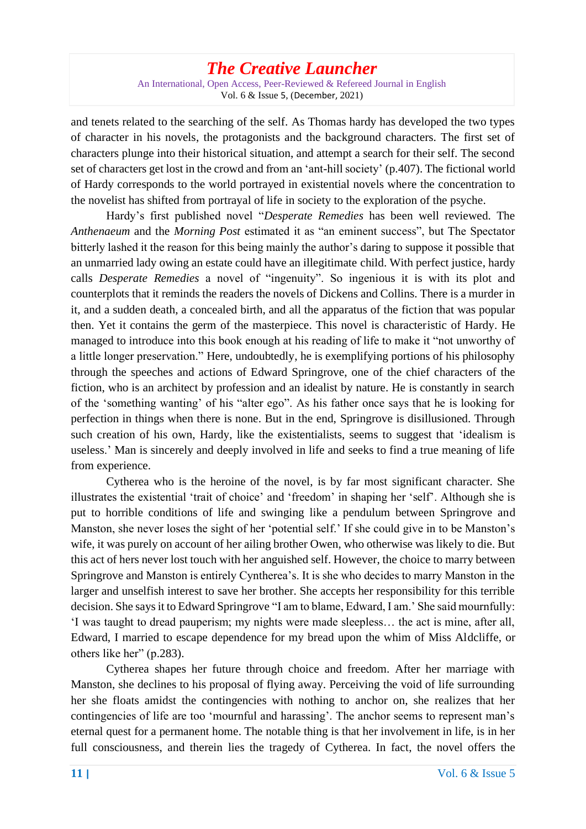An International, Open Access, Peer-Reviewed & Refereed Journal in English Vol. 6 & Issue 5, (December, 2021)

and tenets related to the searching of the self. As Thomas hardy has developed the two types of character in his novels, the protagonists and the background characters. The first set of characters plunge into their historical situation, and attempt a search for their self. The second set of characters get lost in the crowd and from an 'ant-hill society' (p.407). The fictional world of Hardy corresponds to the world portrayed in existential novels where the concentration to the novelist has shifted from portrayal of life in society to the exploration of the psyche.

Hardy's first published novel "*Desperate Remedies* has been well reviewed. The *Anthenaeum* and the *Morning Post* estimated it as "an eminent success", but The Spectator bitterly lashed it the reason for this being mainly the author's daring to suppose it possible that an unmarried lady owing an estate could have an illegitimate child. With perfect justice, hardy calls *Desperate Remedies* a novel of "ingenuity". So ingenious it is with its plot and counterplots that it reminds the readers the novels of Dickens and Collins. There is a murder in it, and a sudden death, a concealed birth, and all the apparatus of the fiction that was popular then. Yet it contains the germ of the masterpiece. This novel is characteristic of Hardy. He managed to introduce into this book enough at his reading of life to make it "not unworthy of a little longer preservation." Here, undoubtedly, he is exemplifying portions of his philosophy through the speeches and actions of Edward Springrove, one of the chief characters of the fiction, who is an architect by profession and an idealist by nature. He is constantly in search of the 'something wanting' of his "alter ego". As his father once says that he is looking for perfection in things when there is none. But in the end, Springrove is disillusioned. Through such creation of his own, Hardy, like the existentialists, seems to suggest that 'idealism is useless.' Man is sincerely and deeply involved in life and seeks to find a true meaning of life from experience.

Cytherea who is the heroine of the novel, is by far most significant character. She illustrates the existential 'trait of choice' and 'freedom' in shaping her 'self'. Although she is put to horrible conditions of life and swinging like a pendulum between Springrove and Manston, she never loses the sight of her 'potential self.' If she could give in to be Manston's wife, it was purely on account of her ailing brother Owen, who otherwise was likely to die. But this act of hers never lost touch with her anguished self. However, the choice to marry between Springrove and Manston is entirely Cyntherea's. It is she who decides to marry Manston in the larger and unselfish interest to save her brother. She accepts her responsibility for this terrible decision. She says it to Edward Springrove "I am to blame, Edward, I am.' She said mournfully: 'I was taught to dread pauperism; my nights were made sleepless… the act is mine, after all, Edward, I married to escape dependence for my bread upon the whim of Miss Aldcliffe, or others like her" (p.283).

Cytherea shapes her future through choice and freedom. After her marriage with Manston, she declines to his proposal of flying away. Perceiving the void of life surrounding her she floats amidst the contingencies with nothing to anchor on, she realizes that her contingencies of life are too 'mournful and harassing'. The anchor seems to represent man's eternal quest for a permanent home. The notable thing is that her involvement in life, is in her full consciousness, and therein lies the tragedy of Cytherea. In fact, the novel offers the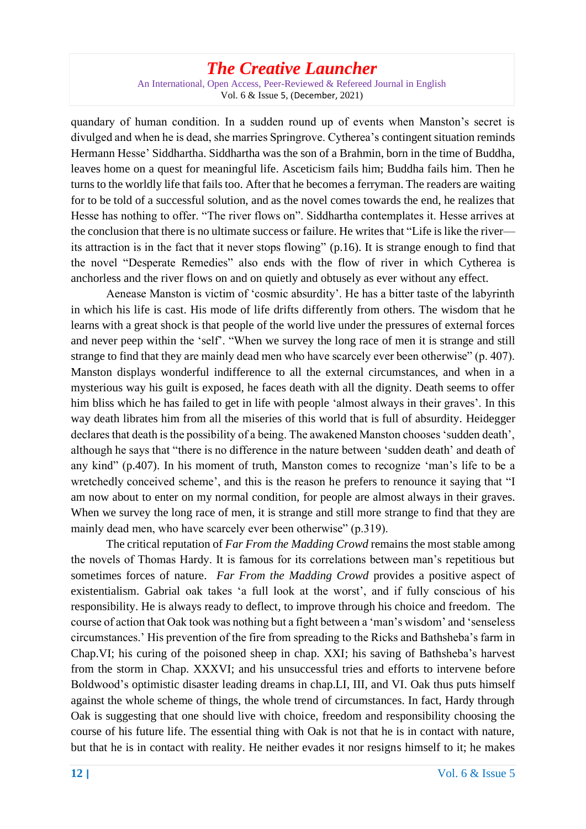An International, Open Access, Peer-Reviewed & Refereed Journal in English Vol. 6 & Issue 5, (December, 2021)

quandary of human condition. In a sudden round up of events when Manston's secret is divulged and when he is dead, she marries Springrove. Cytherea's contingent situation reminds Hermann Hesse' Siddhartha. Siddhartha was the son of a Brahmin, born in the time of Buddha, leaves home on a quest for meaningful life. Asceticism fails him; Buddha fails him. Then he turns to the worldly life that fails too. After that he becomes a ferryman. The readers are waiting for to be told of a successful solution, and as the novel comes towards the end, he realizes that Hesse has nothing to offer. "The river flows on". Siddhartha contemplates it. Hesse arrives at the conclusion that there is no ultimate success or failure. He writes that "Life is like the river its attraction is in the fact that it never stops flowing" (p.16). It is strange enough to find that the novel "Desperate Remedies" also ends with the flow of river in which Cytherea is anchorless and the river flows on and on quietly and obtusely as ever without any effect.

Aenease Manston is victim of 'cosmic absurdity'. He has a bitter taste of the labyrinth in which his life is cast. His mode of life drifts differently from others. The wisdom that he learns with a great shock is that people of the world live under the pressures of external forces and never peep within the 'self'. "When we survey the long race of men it is strange and still strange to find that they are mainly dead men who have scarcely ever been otherwise" (p. 407). Manston displays wonderful indifference to all the external circumstances, and when in a mysterious way his guilt is exposed, he faces death with all the dignity. Death seems to offer him bliss which he has failed to get in life with people 'almost always in their graves'. In this way death librates him from all the miseries of this world that is full of absurdity. Heidegger declares that death is the possibility of a being. The awakened Manston chooses 'sudden death', although he says that "there is no difference in the nature between 'sudden death' and death of any kind" (p.407). In his moment of truth, Manston comes to recognize 'man's life to be a wretchedly conceived scheme', and this is the reason he prefers to renounce it saying that "I am now about to enter on my normal condition, for people are almost always in their graves. When we survey the long race of men, it is strange and still more strange to find that they are mainly dead men, who have scarcely ever been otherwise" (p.319).

The critical reputation of *Far From the Madding Crowd* remains the most stable among the novels of Thomas Hardy. It is famous for its correlations between man's repetitious but sometimes forces of nature. *Far From the Madding Crowd* provides a positive aspect of existentialism. Gabrial oak takes 'a full look at the worst', and if fully conscious of his responsibility. He is always ready to deflect, to improve through his choice and freedom. The course of action that Oak took was nothing but a fight between a 'man's wisdom' and 'senseless circumstances.' His prevention of the fire from spreading to the Ricks and Bathsheba's farm in Chap.VI; his curing of the poisoned sheep in chap. XXI; his saving of Bathsheba's harvest from the storm in Chap. XXXVI; and his unsuccessful tries and efforts to intervene before Boldwood's optimistic disaster leading dreams in chap.LI, III, and VI. Oak thus puts himself against the whole scheme of things, the whole trend of circumstances. In fact, Hardy through Oak is suggesting that one should live with choice, freedom and responsibility choosing the course of his future life. The essential thing with Oak is not that he is in contact with nature, but that he is in contact with reality. He neither evades it nor resigns himself to it; he makes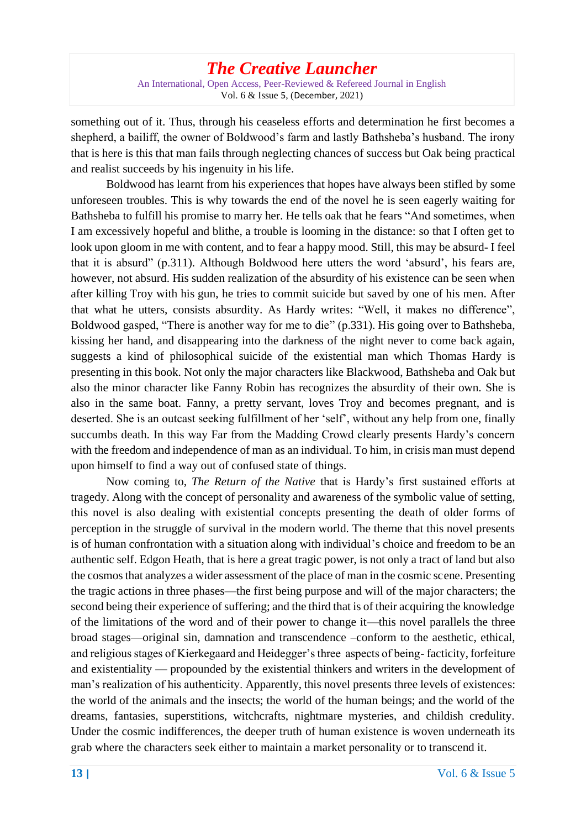An International, Open Access, Peer-Reviewed & Refereed Journal in English Vol. 6 & Issue 5, (December, 2021)

something out of it. Thus, through his ceaseless efforts and determination he first becomes a shepherd, a bailiff, the owner of Boldwood's farm and lastly Bathsheba's husband. The irony that is here is this that man fails through neglecting chances of success but Oak being practical and realist succeeds by his ingenuity in his life.

Boldwood has learnt from his experiences that hopes have always been stifled by some unforeseen troubles. This is why towards the end of the novel he is seen eagerly waiting for Bathsheba to fulfill his promise to marry her. He tells oak that he fears "And sometimes, when I am excessively hopeful and blithe, a trouble is looming in the distance: so that I often get to look upon gloom in me with content, and to fear a happy mood. Still, this may be absurd- I feel that it is absurd" (p.311). Although Boldwood here utters the word 'absurd', his fears are, however, not absurd. His sudden realization of the absurdity of his existence can be seen when after killing Troy with his gun, he tries to commit suicide but saved by one of his men. After that what he utters, consists absurdity. As Hardy writes: "Well, it makes no difference", Boldwood gasped, "There is another way for me to die" (p.331). His going over to Bathsheba, kissing her hand, and disappearing into the darkness of the night never to come back again, suggests a kind of philosophical suicide of the existential man which Thomas Hardy is presenting in this book. Not only the major characters like Blackwood, Bathsheba and Oak but also the minor character like Fanny Robin has recognizes the absurdity of their own. She is also in the same boat. Fanny, a pretty servant, loves Troy and becomes pregnant, and is deserted. She is an outcast seeking fulfillment of her 'self', without any help from one, finally succumbs death. In this way Far from the Madding Crowd clearly presents Hardy's concern with the freedom and independence of man as an individual. To him, in crisis man must depend upon himself to find a way out of confused state of things.

Now coming to, *The Return of the Native* that is Hardy's first sustained efforts at tragedy. Along with the concept of personality and awareness of the symbolic value of setting, this novel is also dealing with existential concepts presenting the death of older forms of perception in the struggle of survival in the modern world. The theme that this novel presents is of human confrontation with a situation along with individual's choice and freedom to be an authentic self. Edgon Heath, that is here a great tragic power, is not only a tract of land but also the cosmos that analyzes a wider assessment of the place of man in the cosmic scene. Presenting the tragic actions in three phases—the first being purpose and will of the major characters; the second being their experience of suffering; and the third that is of their acquiring the knowledge of the limitations of the word and of their power to change it—this novel parallels the three broad stages—original sin, damnation and transcendence –conform to the aesthetic, ethical, and religious stages of Kierkegaard and Heidegger's three aspects of being- facticity, forfeiture and existentiality — propounded by the existential thinkers and writers in the development of man's realization of his authenticity. Apparently, this novel presents three levels of existences: the world of the animals and the insects; the world of the human beings; and the world of the dreams, fantasies, superstitions, witchcrafts, nightmare mysteries, and childish credulity. Under the cosmic indifferences, the deeper truth of human existence is woven underneath its grab where the characters seek either to maintain a market personality or to transcend it.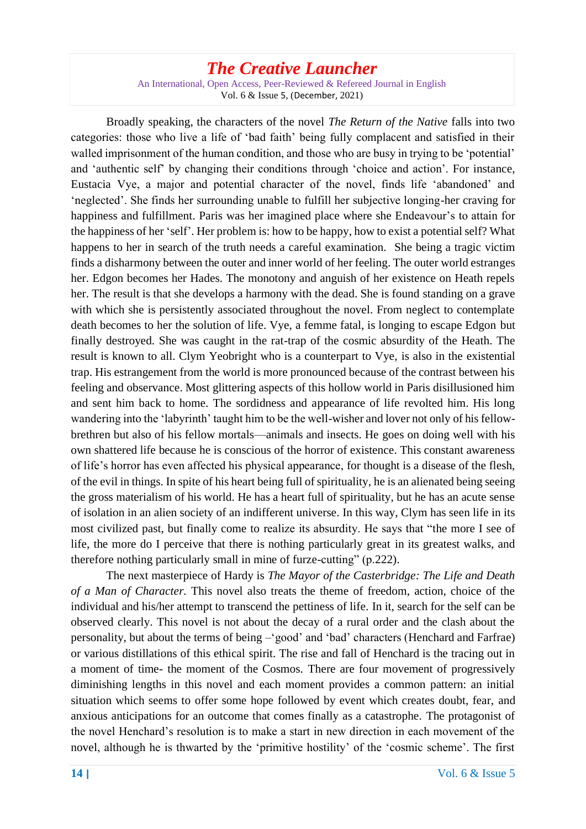An International, Open Access, Peer-Reviewed & Refereed Journal in English Vol. 6 & Issue 5, (December, 2021)

Broadly speaking, the characters of the novel *The Return of the Native* falls into two categories: those who live a life of 'bad faith' being fully complacent and satisfied in their walled imprisonment of the human condition, and those who are busy in trying to be 'potential' and 'authentic self' by changing their conditions through 'choice and action'. For instance, Eustacia Vye, a major and potential character of the novel, finds life 'abandoned' and 'neglected'. She finds her surrounding unable to fulfill her subjective longing-her craving for happiness and fulfillment. Paris was her imagined place where she Endeavour's to attain for the happiness of her 'self'. Her problem is: how to be happy, how to exist a potential self? What happens to her in search of the truth needs a careful examination. She being a tragic victim finds a disharmony between the outer and inner world of her feeling. The outer world estranges her. Edgon becomes her Hades. The monotony and anguish of her existence on Heath repels her. The result is that she develops a harmony with the dead. She is found standing on a grave with which she is persistently associated throughout the novel. From neglect to contemplate death becomes to her the solution of life. Vye, a femme fatal, is longing to escape Edgon but finally destroyed. She was caught in the rat-trap of the cosmic absurdity of the Heath. The result is known to all. Clym Yeobright who is a counterpart to Vye, is also in the existential trap. His estrangement from the world is more pronounced because of the contrast between his feeling and observance. Most glittering aspects of this hollow world in Paris disillusioned him and sent him back to home. The sordidness and appearance of life revolted him. His long wandering into the 'labyrinth' taught him to be the well-wisher and lover not only of his fellowbrethren but also of his fellow mortals—animals and insects. He goes on doing well with his own shattered life because he is conscious of the horror of existence. This constant awareness of life's horror has even affected his physical appearance, for thought is a disease of the flesh, of the evil in things. In spite of his heart being full of spirituality, he is an alienated being seeing the gross materialism of his world. He has a heart full of spirituality, but he has an acute sense of isolation in an alien society of an indifferent universe. In this way, Clym has seen life in its most civilized past, but finally come to realize its absurdity. He says that "the more I see of life, the more do I perceive that there is nothing particularly great in its greatest walks, and therefore nothing particularly small in mine of furze-cutting" (p.222).

The next masterpiece of Hardy is *The Mayor of the Casterbridge: The Life and Death of a Man of Character.* This novel also treats the theme of freedom, action, choice of the individual and his/her attempt to transcend the pettiness of life. In it, search for the self can be observed clearly. This novel is not about the decay of a rural order and the clash about the personality, but about the terms of being –'good' and 'bad' characters (Henchard and Farfrae) or various distillations of this ethical spirit. The rise and fall of Henchard is the tracing out in a moment of time- the moment of the Cosmos. There are four movement of progressively diminishing lengths in this novel and each moment provides a common pattern: an initial situation which seems to offer some hope followed by event which creates doubt, fear, and anxious anticipations for an outcome that comes finally as a catastrophe. The protagonist of the novel Henchard's resolution is to make a start in new direction in each movement of the novel, although he is thwarted by the 'primitive hostility' of the 'cosmic scheme'. The first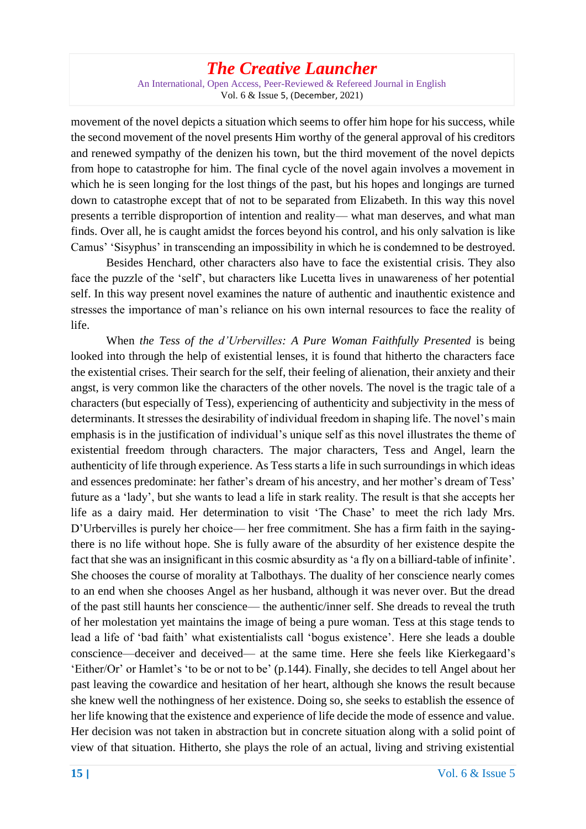An International, Open Access, Peer-Reviewed & Refereed Journal in English Vol. 6 & Issue 5, (December, 2021)

movement of the novel depicts a situation which seems to offer him hope for his success, while the second movement of the novel presents Him worthy of the general approval of his creditors and renewed sympathy of the denizen his town, but the third movement of the novel depicts from hope to catastrophe for him. The final cycle of the novel again involves a movement in which he is seen longing for the lost things of the past, but his hopes and longings are turned down to catastrophe except that of not to be separated from Elizabeth. In this way this novel presents a terrible disproportion of intention and reality— what man deserves, and what man finds. Over all, he is caught amidst the forces beyond his control, and his only salvation is like Camus' 'Sisyphus' in transcending an impossibility in which he is condemned to be destroyed.

Besides Henchard, other characters also have to face the existential crisis. They also face the puzzle of the 'self', but characters like Lucetta lives in unawareness of her potential self. In this way present novel examines the nature of authentic and inauthentic existence and stresses the importance of man's reliance on his own internal resources to face the reality of life.

When *the Tess of the d'Urbervilles: A Pure Woman Faithfully Presented* is being looked into through the help of existential lenses, it is found that hitherto the characters face the existential crises. Their search for the self, their feeling of alienation, their anxiety and their angst, is very common like the characters of the other novels. The novel is the tragic tale of a characters (but especially of Tess), experiencing of authenticity and subjectivity in the mess of determinants. It stresses the desirability of individual freedom in shaping life. The novel's main emphasis is in the justification of individual's unique self as this novel illustrates the theme of existential freedom through characters. The major characters, Tess and Angel, learn the authenticity of life through experience. As Tess starts a life in such surroundings in which ideas and essences predominate: her father's dream of his ancestry, and her mother's dream of Tess' future as a 'lady', but she wants to lead a life in stark reality. The result is that she accepts her life as a dairy maid. Her determination to visit 'The Chase' to meet the rich lady Mrs. D'Urbervilles is purely her choice— her free commitment. She has a firm faith in the sayingthere is no life without hope. She is fully aware of the absurdity of her existence despite the fact that she was an insignificant in this cosmic absurdity as 'a fly on a billiard-table of infinite'. She chooses the course of morality at Talbothays. The duality of her conscience nearly comes to an end when she chooses Angel as her husband, although it was never over. But the dread of the past still haunts her conscience— the authentic/inner self. She dreads to reveal the truth of her molestation yet maintains the image of being a pure woman. Tess at this stage tends to lead a life of 'bad faith' what existentialists call 'bogus existence'. Here she leads a double conscience—deceiver and deceived— at the same time. Here she feels like Kierkegaard's 'Either/Or' or Hamlet's 'to be or not to be' (p.144). Finally, she decides to tell Angel about her past leaving the cowardice and hesitation of her heart, although she knows the result because she knew well the nothingness of her existence. Doing so, she seeks to establish the essence of her life knowing that the existence and experience of life decide the mode of essence and value. Her decision was not taken in abstraction but in concrete situation along with a solid point of view of that situation. Hitherto, she plays the role of an actual, living and striving existential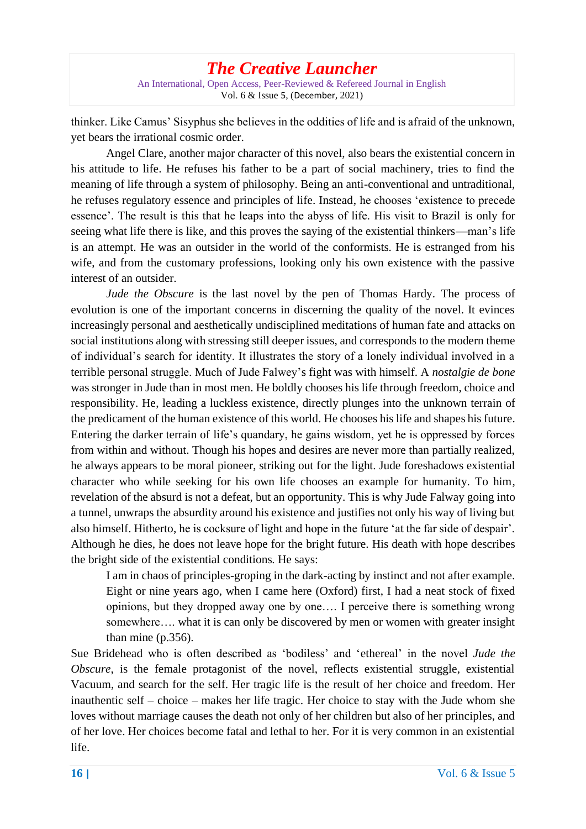#### *The Creative Launcher* An International, Open Access, Peer-Reviewed & Refereed Journal in English Vol. 6 & Issue 5, (December, 2021)

thinker. Like Camus' Sisyphus she believes in the oddities of life and is afraid of the unknown, yet bears the irrational cosmic order.

Angel Clare, another major character of this novel, also bears the existential concern in his attitude to life. He refuses his father to be a part of social machinery, tries to find the meaning of life through a system of philosophy. Being an anti-conventional and untraditional, he refuses regulatory essence and principles of life. Instead, he chooses 'existence to precede essence'. The result is this that he leaps into the abyss of life. His visit to Brazil is only for seeing what life there is like, and this proves the saying of the existential thinkers—man's life is an attempt. He was an outsider in the world of the conformists. He is estranged from his wife, and from the customary professions, looking only his own existence with the passive interest of an outsider.

*Jude the Obscure* is the last novel by the pen of Thomas Hardy. The process of evolution is one of the important concerns in discerning the quality of the novel. It evinces increasingly personal and aesthetically undisciplined meditations of human fate and attacks on social institutions along with stressing still deeper issues, and corresponds to the modern theme of individual's search for identity. It illustrates the story of a lonely individual involved in a terrible personal struggle. Much of Jude Falwey's fight was with himself. A *nostalgie de bone* was stronger in Jude than in most men. He boldly chooses his life through freedom, choice and responsibility. He, leading a luckless existence, directly plunges into the unknown terrain of the predicament of the human existence of this world. He chooses his life and shapes his future. Entering the darker terrain of life's quandary, he gains wisdom, yet he is oppressed by forces from within and without. Though his hopes and desires are never more than partially realized, he always appears to be moral pioneer, striking out for the light. Jude foreshadows existential character who while seeking for his own life chooses an example for humanity. To him, revelation of the absurd is not a defeat, but an opportunity. This is why Jude Falway going into a tunnel, unwraps the absurdity around his existence and justifies not only his way of living but also himself. Hitherto, he is cocksure of light and hope in the future 'at the far side of despair'. Although he dies, he does not leave hope for the bright future. His death with hope describes the bright side of the existential conditions. He says:

I am in chaos of principles-groping in the dark-acting by instinct and not after example. Eight or nine years ago, when I came here (Oxford) first, I had a neat stock of fixed opinions, but they dropped away one by one…. I perceive there is something wrong somewhere…. what it is can only be discovered by men or women with greater insight than mine (p.356).

Sue Bridehead who is often described as 'bodiless' and 'ethereal' in the novel *Jude the Obscure*, is the female protagonist of the novel, reflects existential struggle, existential Vacuum, and search for the self. Her tragic life is the result of her choice and freedom. Her inauthentic self – choice – makes her life tragic. Her choice to stay with the Jude whom she loves without marriage causes the death not only of her children but also of her principles, and of her love. Her choices become fatal and lethal to her. For it is very common in an existential life.